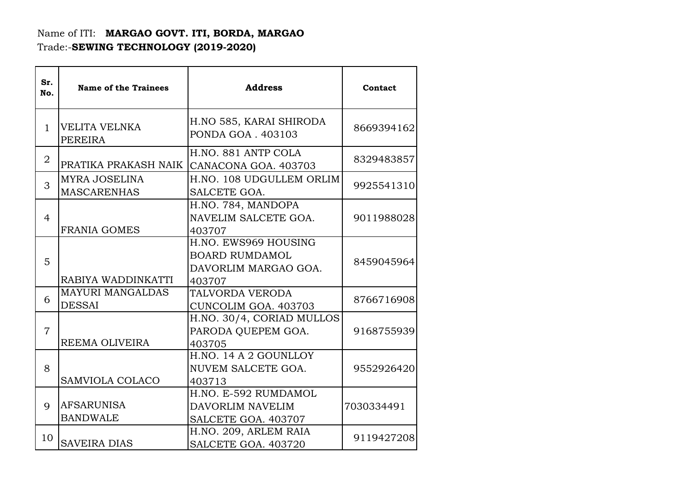## Name of ITI: **MARGAO GOVT. ITI, BORDA, MARGAO**  Trade:-**SEWING TECHNOLOGY (2019-2020)**

| Sr.<br>No.     | <b>Name of the Trainees</b>                | <b>Address</b>                                                                  | Contact    |
|----------------|--------------------------------------------|---------------------------------------------------------------------------------|------------|
| $\mathbf{1}$   | VELITA VELNKA<br><b>PEREIRA</b>            | H.NO 585, KARAI SHIRODA<br>PONDA GOA . 403103                                   | 8669394162 |
| 2              | PRATIKA PRAKASH NAIK                       | H.NO. 881 ANTP COLA<br>CANACONA GOA. 403703                                     | 8329483857 |
| 3              | <b>MYRA JOSELINA</b><br><b>MASCARENHAS</b> | H.NO. 108 UDGULLEM ORLIM<br>SALCETE GOA.                                        | 9925541310 |
| $\overline{4}$ | <b>FRANIA GOMES</b>                        | H.NO. 784, MANDOPA<br>NAVELIM SALCETE GOA.<br>403707                            | 9011988028 |
| 5              | RABIYA WADDINKATTI                         | H.NO. EWS969 HOUSING<br><b>BOARD RUMDAMOL</b><br>DAVORLIM MARGAO GOA.<br>403707 | 8459045964 |
| 6              | <b>MAYURI MANGALDAS</b><br><b>DESSAI</b>   | <b>TALVORDA VERODA</b><br>CUNCOLIM GOA. 403703                                  | 8766716908 |
| $\overline{7}$ | REEMA OLIVEIRA                             | H.NO. 30/4, CORIAD MULLOS<br>PARODA QUEPEM GOA.<br>403705                       | 9168755939 |
| 8              | <b>SAMVIOLA COLACO</b>                     | H.NO. 14 A 2 GOUNLLOY<br>NUVEM SALCETE GOA.<br>403713                           | 9552926420 |
| 9              | <b>AFSARUNISA</b><br><b>BANDWALE</b>       | H.NO. E-592 RUMDAMOL<br>DAVORLIM NAVELIM<br>SALCETE GOA. 403707                 | 7030334491 |
| 10             | <b>SAVEIRA DIAS</b>                        | H.NO. 209, ARLEM RAIA<br>SALCETE GOA. 403720                                    | 9119427208 |